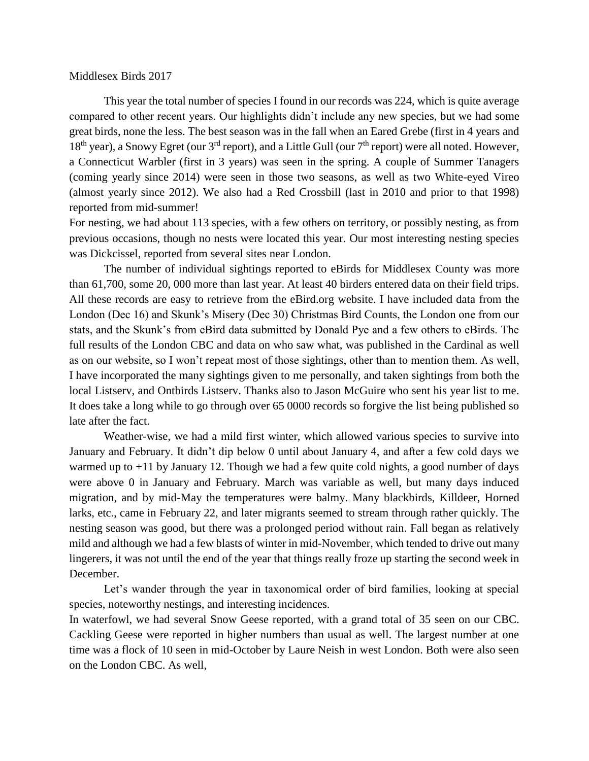## Middlesex Birds 2017

This year the total number of species I found in our records was 224, which is quite average compared to other recent years. Our highlights didn't include any new species, but we had some great birds, none the less. The best season was in the fall when an Eared Grebe (first in 4 years and  $18<sup>th</sup>$  year), a Snowy Egret (our 3<sup>rd</sup> report), and a Little Gull (our 7<sup>th</sup> report) were all noted. However, a Connecticut Warbler (first in 3 years) was seen in the spring. A couple of Summer Tanagers (coming yearly since 2014) were seen in those two seasons, as well as two White-eyed Vireo (almost yearly since 2012). We also had a Red Crossbill (last in 2010 and prior to that 1998) reported from mid-summer!

For nesting, we had about 113 species, with a few others on territory, or possibly nesting, as from previous occasions, though no nests were located this year. Our most interesting nesting species was Dickcissel, reported from several sites near London.

The number of individual sightings reported to eBirds for Middlesex County was more than 61,700, some 20, 000 more than last year. At least 40 birders entered data on their field trips. All these records are easy to retrieve from the eBird.org website. I have included data from the London (Dec 16) and Skunk's Misery (Dec 30) Christmas Bird Counts, the London one from our stats, and the Skunk's from eBird data submitted by Donald Pye and a few others to eBirds. The full results of the London CBC and data on who saw what, was published in the Cardinal as well as on our website, so I won't repeat most of those sightings, other than to mention them. As well, I have incorporated the many sightings given to me personally, and taken sightings from both the local Listserv, and Ontbirds Listserv. Thanks also to Jason McGuire who sent his year list to me. It does take a long while to go through over 65 0000 records so forgive the list being published so late after the fact.

Weather-wise, we had a mild first winter, which allowed various species to survive into January and February. It didn't dip below 0 until about January 4, and after a few cold days we warmed up to  $+11$  by January 12. Though we had a few quite cold nights, a good number of days were above 0 in January and February. March was variable as well, but many days induced migration, and by mid-May the temperatures were balmy. Many blackbirds, Killdeer, Horned larks, etc., came in February 22, and later migrants seemed to stream through rather quickly. The nesting season was good, but there was a prolonged period without rain. Fall began as relatively mild and although we had a few blasts of winter in mid-November, which tended to drive out many lingerers, it was not until the end of the year that things really froze up starting the second week in December.

Let's wander through the year in taxonomical order of bird families, looking at special species, noteworthy nestings, and interesting incidences.

In waterfowl, we had several Snow Geese reported, with a grand total of 35 seen on our CBC. Cackling Geese were reported in higher numbers than usual as well. The largest number at one time was a flock of 10 seen in mid-October by Laure Neish in west London. Both were also seen on the London CBC. As well,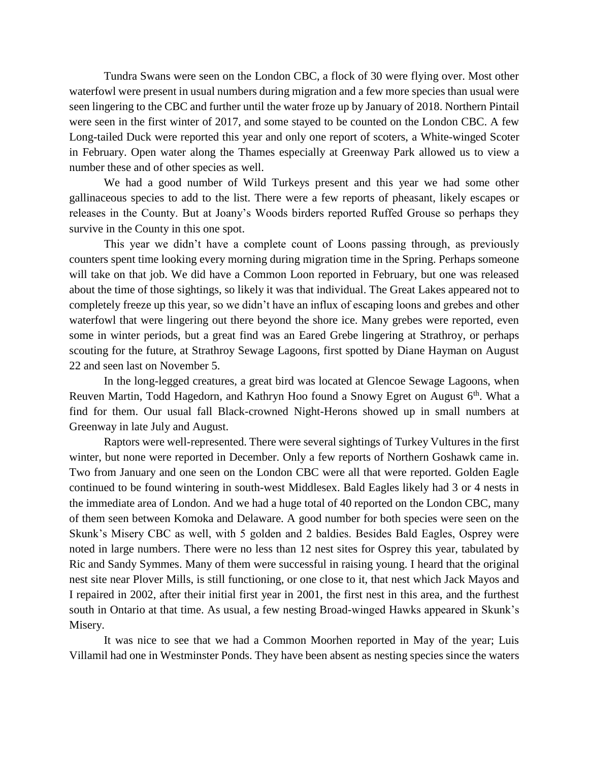Tundra Swans were seen on the London CBC, a flock of 30 were flying over. Most other waterfowl were present in usual numbers during migration and a few more species than usual were seen lingering to the CBC and further until the water froze up by January of 2018. Northern Pintail were seen in the first winter of 2017, and some stayed to be counted on the London CBC. A few Long-tailed Duck were reported this year and only one report of scoters, a White-winged Scoter in February. Open water along the Thames especially at Greenway Park allowed us to view a number these and of other species as well.

We had a good number of Wild Turkeys present and this year we had some other gallinaceous species to add to the list. There were a few reports of pheasant, likely escapes or releases in the County. But at Joany's Woods birders reported Ruffed Grouse so perhaps they survive in the County in this one spot.

This year we didn't have a complete count of Loons passing through, as previously counters spent time looking every morning during migration time in the Spring. Perhaps someone will take on that job. We did have a Common Loon reported in February, but one was released about the time of those sightings, so likely it was that individual. The Great Lakes appeared not to completely freeze up this year, so we didn't have an influx of escaping loons and grebes and other waterfowl that were lingering out there beyond the shore ice. Many grebes were reported, even some in winter periods, but a great find was an Eared Grebe lingering at Strathroy, or perhaps scouting for the future, at Strathroy Sewage Lagoons, first spotted by Diane Hayman on August 22 and seen last on November 5.

In the long-legged creatures, a great bird was located at Glencoe Sewage Lagoons, when Reuven Martin, Todd Hagedorn, and Kathryn Hoo found a Snowy Egret on August  $6<sup>th</sup>$ . What a find for them. Our usual fall Black-crowned Night-Herons showed up in small numbers at Greenway in late July and August.

Raptors were well-represented. There were several sightings of Turkey Vultures in the first winter, but none were reported in December. Only a few reports of Northern Goshawk came in. Two from January and one seen on the London CBC were all that were reported. Golden Eagle continued to be found wintering in south-west Middlesex. Bald Eagles likely had 3 or 4 nests in the immediate area of London. And we had a huge total of 40 reported on the London CBC, many of them seen between Komoka and Delaware. A good number for both species were seen on the Skunk's Misery CBC as well, with 5 golden and 2 baldies. Besides Bald Eagles, Osprey were noted in large numbers. There were no less than 12 nest sites for Osprey this year, tabulated by Ric and Sandy Symmes. Many of them were successful in raising young. I heard that the original nest site near Plover Mills, is still functioning, or one close to it, that nest which Jack Mayos and I repaired in 2002, after their initial first year in 2001, the first nest in this area, and the furthest south in Ontario at that time. As usual, a few nesting Broad-winged Hawks appeared in Skunk's Misery.

It was nice to see that we had a Common Moorhen reported in May of the year; Luis Villamil had one in Westminster Ponds. They have been absent as nesting species since the waters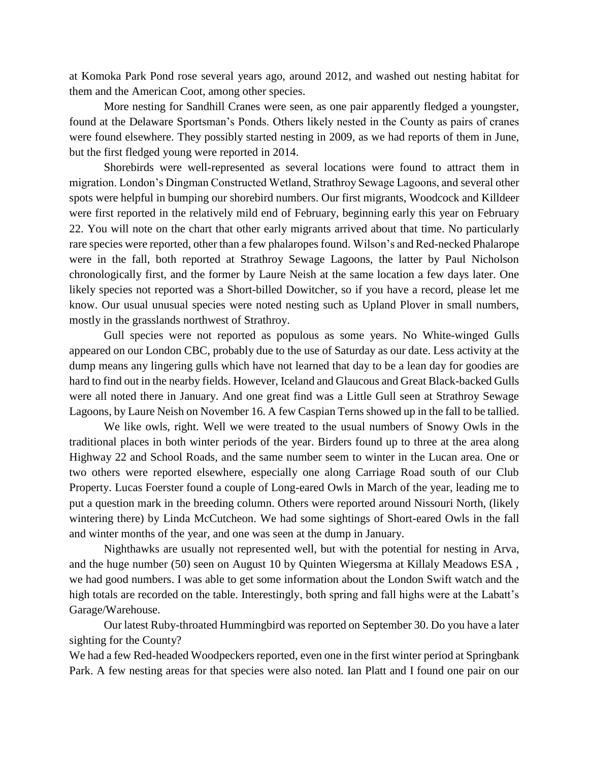at Komoka Park Pond rose several years ago, around 2012, and washed out nesting habitat for them and the American Coot, among other species.

More nesting for Sandhill Cranes were seen, as one pair apparently fledged a youngster, found at the Delaware Sportsman's Ponds. Others likely nested in the County as pairs of cranes were found elsewhere. They possibly started nesting in 2009, as we had reports of them in June, but the first fledged young were reported in 2014.

Shorebirds were well-represented as several locations were found to attract them in migration. London's Dingman Constructed Wetland, Strathroy Sewage Lagoons, and several other spots were helpful in bumping our shorebird numbers. Our first migrants, Woodcock and Killdeer were first reported in the relatively mild end of February, beginning early this year on February 22. You will note on the chart that other early migrants arrived about that time. No particularly rare species were reported, other than a few phalaropes found. Wilson's and Red-necked Phalarope were in the fall, both reported at Strathroy Sewage Lagoons, the latter by Paul Nicholson chronologically first, and the former by Laure Neish at the same location a few days later. One likely species not reported was a Short-billed Dowitcher, so if you have a record, please let me know. Our usual unusual species were noted nesting such as Upland Plover in small numbers, mostly in the grasslands northwest of Strathroy.

Gull species were not reported as populous as some years. No White-winged Gulls appeared on our London CBC, probably due to the use of Saturday as our date. Less activity at the dump means any lingering gulls which have not learned that day to be a lean day for goodies are hard to find out in the nearby fields. However, Iceland and Glaucous and Great Black-backed Gulls were all noted there in January. And one great find was a Little Gull seen at Strathroy Sewage Lagoons, by Laure Neish on November 16. A few Caspian Terns showed up in the fall to be tallied.

We like owls, right. Well we were treated to the usual numbers of Snowy Owls in the traditional places in both winter periods of the year. Birders found up to three at the area along Highway 22 and School Roads, and the same number seem to winter in the Lucan area. One or two others were reported elsewhere, especially one along Carriage Road south of our Club Property. Lucas Foerster found a couple of Long-eared Owls in March of the year, leading me to put a question mark in the breeding column. Others were reported around Nissouri North, (likely wintering there) by Linda McCutcheon. We had some sightings of Short-eared Owls in the fall and winter months of the year, and one was seen at the dump in January.

Nighthawks are usually not represented well, but with the potential for nesting in Arva, and the huge number (50) seen on August 10 by Quinten Wiegersma at Killaly Meadows ESA , we had good numbers. I was able to get some information about the London Swift watch and the high totals are recorded on the table. Interestingly, both spring and fall highs were at the Labatt's Garage/Warehouse.

Our latest Ruby-throated Hummingbird was reported on September 30. Do you have a later sighting for the County?

We had a few Red-headed Woodpeckers reported, even one in the first winter period at Springbank Park. A few nesting areas for that species were also noted. Ian Platt and I found one pair on our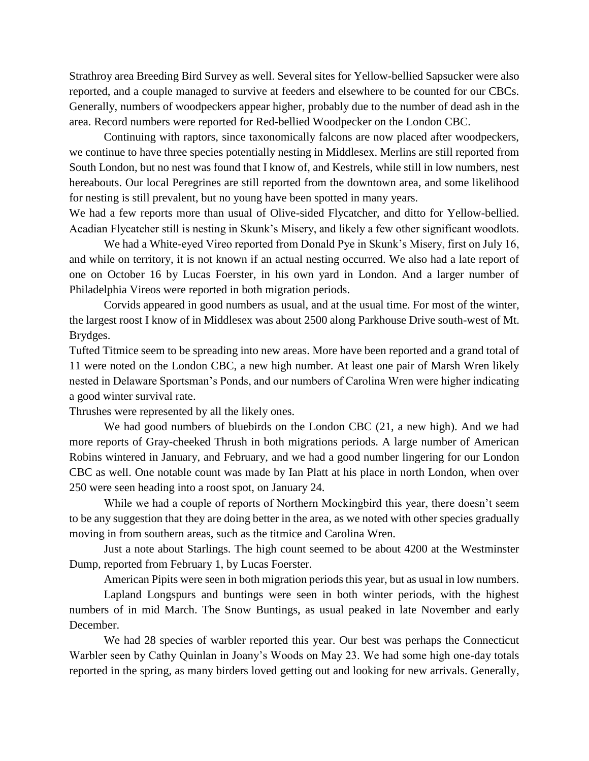Strathroy area Breeding Bird Survey as well. Several sites for Yellow-bellied Sapsucker were also reported, and a couple managed to survive at feeders and elsewhere to be counted for our CBCs. Generally, numbers of woodpeckers appear higher, probably due to the number of dead ash in the area. Record numbers were reported for Red-bellied Woodpecker on the London CBC.

Continuing with raptors, since taxonomically falcons are now placed after woodpeckers, we continue to have three species potentially nesting in Middlesex. Merlins are still reported from South London, but no nest was found that I know of, and Kestrels, while still in low numbers, nest hereabouts. Our local Peregrines are still reported from the downtown area, and some likelihood for nesting is still prevalent, but no young have been spotted in many years.

We had a few reports more than usual of Olive-sided Flycatcher, and ditto for Yellow-bellied. Acadian Flycatcher still is nesting in Skunk's Misery, and likely a few other significant woodlots.

We had a White-eyed Vireo reported from Donald Pye in Skunk's Misery, first on July 16, and while on territory, it is not known if an actual nesting occurred. We also had a late report of one on October 16 by Lucas Foerster, in his own yard in London. And a larger number of Philadelphia Vireos were reported in both migration periods.

Corvids appeared in good numbers as usual, and at the usual time. For most of the winter, the largest roost I know of in Middlesex was about 2500 along Parkhouse Drive south-west of Mt. Brydges.

Tufted Titmice seem to be spreading into new areas. More have been reported and a grand total of 11 were noted on the London CBC, a new high number. At least one pair of Marsh Wren likely nested in Delaware Sportsman's Ponds, and our numbers of Carolina Wren were higher indicating a good winter survival rate.

Thrushes were represented by all the likely ones.

We had good numbers of bluebirds on the London CBC (21, a new high). And we had more reports of Gray-cheeked Thrush in both migrations periods. A large number of American Robins wintered in January, and February, and we had a good number lingering for our London CBC as well. One notable count was made by Ian Platt at his place in north London, when over 250 were seen heading into a roost spot, on January 24.

While we had a couple of reports of Northern Mockingbird this year, there doesn't seem to be any suggestion that they are doing better in the area, as we noted with other species gradually moving in from southern areas, such as the titmice and Carolina Wren.

Just a note about Starlings. The high count seemed to be about 4200 at the Westminster Dump, reported from February 1, by Lucas Foerster.

American Pipits were seen in both migration periods this year, but as usual in low numbers.

Lapland Longspurs and buntings were seen in both winter periods, with the highest numbers of in mid March. The Snow Buntings, as usual peaked in late November and early December.

We had 28 species of warbler reported this year. Our best was perhaps the Connecticut Warbler seen by Cathy Quinlan in Joany's Woods on May 23. We had some high one-day totals reported in the spring, as many birders loved getting out and looking for new arrivals. Generally,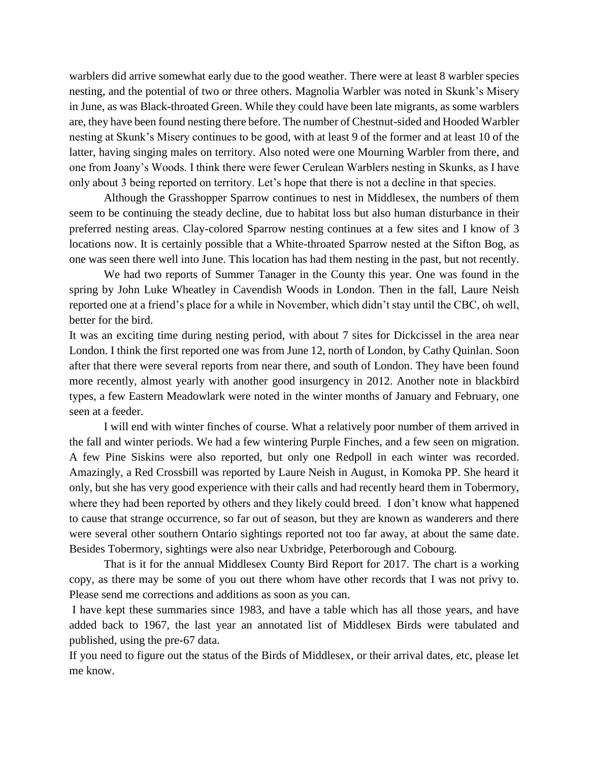warblers did arrive somewhat early due to the good weather. There were at least 8 warbler species nesting, and the potential of two or three others. Magnolia Warbler was noted in Skunk's Misery in June, as was Black-throated Green. While they could have been late migrants, as some warblers are, they have been found nesting there before. The number of Chestnut-sided and Hooded Warbler nesting at Skunk's Misery continues to be good, with at least 9 of the former and at least 10 of the latter, having singing males on territory. Also noted were one Mourning Warbler from there, and one from Joany's Woods. I think there were fewer Cerulean Warblers nesting in Skunks, as I have only about 3 being reported on territory. Let's hope that there is not a decline in that species.

Although the Grasshopper Sparrow continues to nest in Middlesex, the numbers of them seem to be continuing the steady decline, due to habitat loss but also human disturbance in their preferred nesting areas. Clay-colored Sparrow nesting continues at a few sites and I know of 3 locations now. It is certainly possible that a White-throated Sparrow nested at the Sifton Bog, as one was seen there well into June. This location has had them nesting in the past, but not recently.

We had two reports of Summer Tanager in the County this year. One was found in the spring by John Luke Wheatley in Cavendish Woods in London. Then in the fall, Laure Neish reported one at a friend's place for a while in November, which didn't stay until the CBC, oh well, better for the bird.

It was an exciting time during nesting period, with about 7 sites for Dickcissel in the area near London. I think the first reported one was from June 12, north of London, by Cathy Quinlan. Soon after that there were several reports from near there, and south of London. They have been found more recently, almost yearly with another good insurgency in 2012. Another note in blackbird types, a few Eastern Meadowlark were noted in the winter months of January and February, one seen at a feeder.

I will end with winter finches of course. What a relatively poor number of them arrived in the fall and winter periods. We had a few wintering Purple Finches, and a few seen on migration. A few Pine Siskins were also reported, but only one Redpoll in each winter was recorded. Amazingly, a Red Crossbill was reported by Laure Neish in August, in Komoka PP. She heard it only, but she has very good experience with their calls and had recently heard them in Tobermory, where they had been reported by others and they likely could breed. I don't know what happened to cause that strange occurrence, so far out of season, but they are known as wanderers and there were several other southern Ontario sightings reported not too far away, at about the same date. Besides Tobermory, sightings were also near Uxbridge, Peterborough and Cobourg.

That is it for the annual Middlesex County Bird Report for 2017. The chart is a working copy, as there may be some of you out there whom have other records that I was not privy to. Please send me corrections and additions as soon as you can.

I have kept these summaries since 1983, and have a table which has all those years, and have added back to 1967, the last year an annotated list of Middlesex Birds were tabulated and published, using the pre-67 data.

If you need to figure out the status of the Birds of Middlesex, or their arrival dates, etc, please let me know.